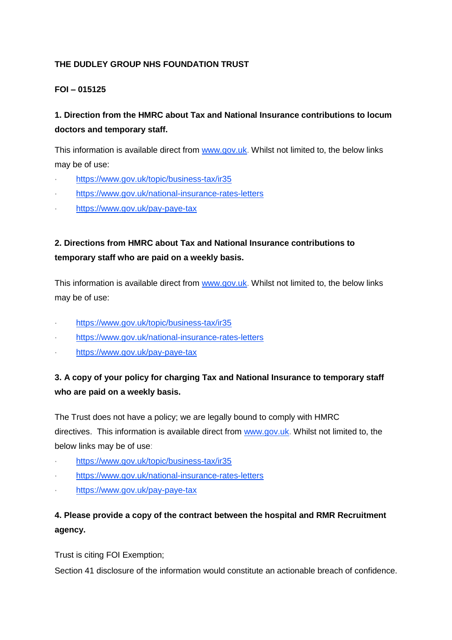#### **THE DUDLEY GROUP NHS FOUNDATION TRUST**

#### **FOI – 015125**

### **1. Direction from the HMRC about Tax and National Insurance contributions to locum doctors and temporary staff.**

This information is available direct from [www.gov.uk.](http://www.gov.uk/) Whilst not limited to, the below links may be of use:

- · <https://www.gov.uk/topic/business-tax/ir35>
- <https://www.gov.uk/national-insurance-rates-letters>
- · <https://www.gov.uk/pay-paye-tax>

# **2. Directions from HMRC about Tax and National Insurance contributions to temporary staff who are paid on a weekly basis.**

This information is available direct from [www.gov.uk.](http://www.gov.uk/) Whilst not limited to, the below links may be of use:

- · <https://www.gov.uk/topic/business-tax/ir35>
- <https://www.gov.uk/national-insurance-rates-letters>
- · <https://www.gov.uk/pay-paye-tax>

## **3. A copy of your policy for charging Tax and National Insurance to temporary staff who are paid on a weekly basis.**

The Trust does not have a policy; we are legally bound to comply with HMRC directives. This information is available direct from [www.gov.uk.](http://www.gov.uk/) Whilst not limited to, the below links may be of use:

- · <https://www.gov.uk/topic/business-tax/ir35>
- <https://www.gov.uk/national-insurance-rates-letters>
- · <https://www.gov.uk/pay-paye-tax>

## **4. Please provide a copy of the contract between the hospital and RMR Recruitment agency.**

Trust is citing FOI Exemption;

Section 41 disclosure of the information would constitute an actionable breach of confidence.